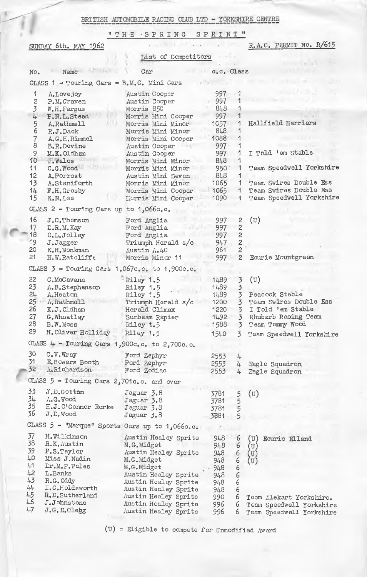BRITISH AUTOMOBILE RACING CLUB LTD - YORKSHIRE CENTRE

"THE SPRING SPRINT"

| SUNDAY 6th. MAY 1962                           |                                                   |                                         |             |                | R.A.C. PERMIT No. R/615    |  |  |  |  |  |
|------------------------------------------------|---------------------------------------------------|-----------------------------------------|-------------|----------------|----------------------------|--|--|--|--|--|
| List of Competitors                            |                                                   |                                         |             |                |                            |  |  |  |  |  |
| No.                                            | $-$ Name                                          | Car                                     | c.c. Class  |                |                            |  |  |  |  |  |
| CLASS 1 - Touring Cars - B.M.C. Mini Cars      |                                                   |                                         |             |                |                            |  |  |  |  |  |
| 1                                              | A.Lovejoy                                         | Austin Cooper                           | 997         | 1              |                            |  |  |  |  |  |
| $\overline{c}$                                 | P.M.Craven                                        | Austin Cooper                           | 997         | 1              |                            |  |  |  |  |  |
| 3                                              | W.H.Fargus                                        | Morris 850                              | 848         | 1              |                            |  |  |  |  |  |
| 4                                              | P.N.L.Stead                                       | Morris Mini Cooper                      | 997         | 1              |                            |  |  |  |  |  |
| 5                                              | A.Rathmell                                        | Morris Mini Minor                       | 1057        | 1              | Hallfield Harriers         |  |  |  |  |  |
| 6                                              | R.J.Dack                                          | Morris Mini Minor                       | 848         |                |                            |  |  |  |  |  |
| $\overline{7}$                                 | A.G.H.Rimmel                                      | Morris Mini Cooper                      | 1088        | 1              |                            |  |  |  |  |  |
| 8                                              | B.R.Devine                                        | Austin Cooper                           | 997         | 1              |                            |  |  |  |  |  |
| 9                                              | M.K.Oldham                                        | Austin Cooper                           | 997         | 1              | I Told 'em Stable          |  |  |  |  |  |
| 10                                             | J.Wales                                           | Morris Mini Minor                       | 848         | 1              |                            |  |  |  |  |  |
| 11                                             | $C_{\bullet}G_{\bullet}$ Wood                     | Morris Mini Minor                       | 950         | 1              | Team Speedwell Yorkshire   |  |  |  |  |  |
| 12<br>13                                       | A. Porrest                                        | Austin Mini Seven                       | 848<br>1065 | -1<br>1.       | Team Swires Double Ess     |  |  |  |  |  |
| 14.                                            | A.Staniforth<br>F.H.Crosby                        | Morris Mini Minor<br>Morris Mini Cooper | 1065        | 1.             | Team Swires Double Ess     |  |  |  |  |  |
| 15                                             | K.N.Lee                                           | Lierris Mini Cooper                     | 1090        | 1              | Team Speedwell Yorkshire   |  |  |  |  |  |
|                                                |                                                   |                                         |             |                |                            |  |  |  |  |  |
| CLASS 2 - Touring Cars up to 1,066c.c.         |                                                   |                                         |             |                |                            |  |  |  |  |  |
| 16                                             | J.C.Thomson                                       | Ford Anglia                             | 997         | $\overline{c}$ | $(\mathbf{U})$             |  |  |  |  |  |
| 17                                             | D.R.M.Kay                                         | Ford Anglia                             | 997         | 2              |                            |  |  |  |  |  |
| 18                                             | C.L.Jolley                                        | Ford Anglia                             | 997         | 2              |                            |  |  |  |  |  |
| 19                                             | J.Jagger                                          | Triumph Herald s/c                      | 947         | $\overline{2}$ |                            |  |  |  |  |  |
| 20                                             | K.H.Monkman                                       | Austin A.40                             | 961         | $\overline{2}$ |                            |  |  |  |  |  |
| 21                                             | H.W.Ratcliffe                                     | Morris Minor 11                         | 997         | $\overline{c}$ | Ecurie Mountgreen          |  |  |  |  |  |
|                                                | CLASS $3$ - Touring Cars 1,067c.c. to 1,900c.c.   |                                         |             |                |                            |  |  |  |  |  |
| 22                                             | C.McCavana                                        | Riley 1.5                               | 1489        | $\overline{3}$ | $(\mathbb{U})$             |  |  |  |  |  |
| 23                                             | A.B.Stephenson                                    | Riley 1.5                               | 1489        | $\overline{3}$ |                            |  |  |  |  |  |
| 24                                             | A.Heaton                                          | Riley 1.5                               | 1489        | $\overline{3}$ | Peacock Stable             |  |  |  |  |  |
| 25                                             | A.Rathmell                                        | Triumph Herald s/c                      | 1200        | $\overline{3}$ | Team Swires Double Ess     |  |  |  |  |  |
| 26                                             | K.J.Oldham                                        | Herald Climax                           | 1220        | 3              | I Told 'em Stable          |  |  |  |  |  |
| 27                                             | G.Wheatley                                        | Sunbeam Rapier                          | 1492        | 3              | Rhubarb Racing Team        |  |  |  |  |  |
| 28                                             | B.W.Moss                                          | Riley t.5                               | 1588        | 3.             | Team Tommy Wood            |  |  |  |  |  |
| 29                                             | H. Oliver Holliday                                | Riley 1.5                               | 1540        | 3              | Team Speedwell Yorkshire   |  |  |  |  |  |
|                                                | CLASS $4$ - Touring Cars 1, 900c.c. to 2, 700c.c. |                                         |             |                |                            |  |  |  |  |  |
| 30                                             | $C$ . $V$ . $W$ ray                               | Ford Zephyr                             | 2553        | 4              |                            |  |  |  |  |  |
| 31                                             | E. Bowers Booth                                   | Ford Zephyr                             | 2553        | 4              | Eagle Squadron             |  |  |  |  |  |
| 32                                             | A.Richardson                                      | Ford Zodiac                             | 2553        | 4              | Eagle Squadron             |  |  |  |  |  |
|                                                | CLASS 5 - Touring Cars 2,701c.c. and over         |                                         |             |                |                            |  |  |  |  |  |
| 33                                             | J.D.Cottm                                         | Jaguar 3.8                              | 3781        |                | $(\mathtt{U})$             |  |  |  |  |  |
| 34                                             | $\Lambda$ . G. Wood                               | Jaguar 3.8                              | 3781        | 5<br>5         |                            |  |  |  |  |  |
| 35                                             | H.J.O'Connor Rorke                                | Jaguar 3.8                              | 3781        | 5              |                            |  |  |  |  |  |
| 36                                             | $J.D.$ Wood                                       | $J$ aguar $5.8$                         | 3881        | 5              |                            |  |  |  |  |  |
| CLASS 5 - "Marque" Sports Cars up to 1,066c.c. |                                                   |                                         |             |                |                            |  |  |  |  |  |
| 37                                             | H.Wilkinson                                       | Austin Healey Sprite                    |             |                |                            |  |  |  |  |  |
| 38                                             | R.K. Austin                                       | M.G.Midget                              | 948<br>948  | 6<br>6         | (U)<br>Ecurie Elland<br>(U |  |  |  |  |  |
| 39                                             | P.S.Taylor                                        | Austin Healey Sprite                    | 948         |                | U                          |  |  |  |  |  |
| 40                                             | Miss J. Nadin                                     | M.G.Midget                              | 948         | 6<br>6         | (U)                        |  |  |  |  |  |
| 41                                             | $Dr.M.P.$ Wales                                   | M.G.Midget                              | 948         | 6              |                            |  |  |  |  |  |
| 42                                             | L.Banks                                           | Austin Healey Sprite                    | 948         | 6              |                            |  |  |  |  |  |
| 43                                             | R.G.Oddy                                          | Austin Healey Sprite                    | 948         | 6              |                            |  |  |  |  |  |
| 44                                             | I.C.Holdsworth                                    | Austin Healey Sprite                    | 948         | 6              |                            |  |  |  |  |  |
| 45                                             | R.D.Sutherland                                    | Austin Healey Sprite                    | 990         | 6              | Team Alekart Yorkshire.    |  |  |  |  |  |
| 46                                             | $J$ . $J$ ohnstone                                | Austin Healey Sprite                    | 996         | 6              | Team Speedwell Yorkshire   |  |  |  |  |  |
| 47                                             | J.G.E.Clegg                                       | Austin Healey Sprite                    | 996         | 6              | Team Speedwell Yorkshire   |  |  |  |  |  |

(U) = Eligible to compete for Unnofified Award